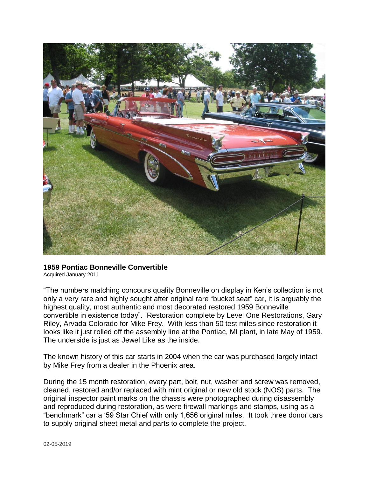

## **1959 Pontiac Bonneville Convertible**

Acquired January 2011

"The numbers matching concours quality Bonneville on display in Ken's collection is not only a very rare and highly sought after original rare "bucket seat" car, it is arguably the highest quality, most authentic and most decorated restored 1959 Bonneville convertible in existence today". Restoration complete by Level One Restorations, Gary Riley, Arvada Colorado for Mike Frey. With less than 50 test miles since restoration it looks like it just rolled off the assembly line at the Pontiac, MI plant, in late May of 1959. The underside is just as Jewel Like as the inside.

The known history of this car starts in 2004 when the car was purchased largely intact by Mike Frey from a dealer in the Phoenix area.

During the 15 month restoration, every part, bolt, nut, washer and screw was removed, cleaned, restored and/or replaced with mint original or new old stock (NOS) parts. The original inspector paint marks on the chassis were photographed during disassembly and reproduced during restoration, as were firewall markings and stamps, using as a "benchmark" car a '59 Star Chief with only 1,656 original miles. It took three donor cars to supply original sheet metal and parts to complete the project.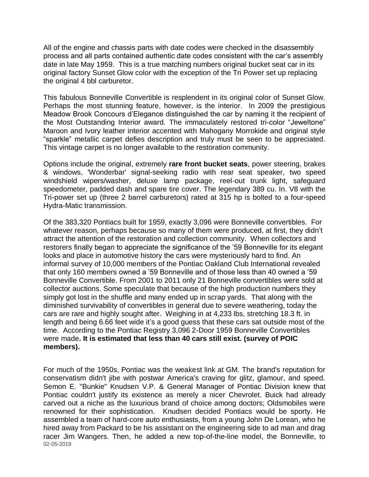All of the engine and chassis parts with date codes were checked in the disassembly process and all parts contained authentic date codes consistent with the car's assembly date in late May 1959. This is a true matching numbers original bucket seat car in its original factory Sunset Glow color with the exception of the Tri Power set up replacing the original 4 bbl carburetor.

This fabulous Bonneville Convertible is resplendent in its original color of Sunset Glow. Perhaps the most stunning feature, however, is the interior. In 2009 the prestigious Meadow Brook Concours d'Elegance distinguished the car by naming it the recipient of the Most Outstanding Interior award. The immaculately restored tri-color "Jeweltone" Maroon and Ivory leather interior accented with Mahogany Morrokide and original style "sparkle" metallic carpet defies description and truly must be seen to be appreciated. This vintage carpet is no longer available to the restoration community.

Options include the original, extremely **rare front bucket seats**, power steering, brakes & windows, 'Wonderbar' signal-seeking radio with rear seat speaker, two speed windshield wipers/washer, deluxe lamp package, reel-out trunk light, safeguard speedometer, padded dash and spare tire cover. The legendary 389 cu. In. V8 with the Tri-power set up (three 2 barrel carburetors) rated at 315 hp is bolted to a four-speed Hydra-Matic transmission.

Of the 383,320 Pontiacs built for 1959, exactly 3,096 were Bonneville convertibles. For whatever reason, perhaps because so many of them were produced, at first, they didn't attract the attention of the restoration and collection community. When collectors and restorers finally began to appreciate the significance of the '59 Bonneville for its elegant looks and place in automotive history the cars were mysteriously hard to find. An informal survey of 10,000 members of the Pontiac Oakland Club International revealed that only 160 members owned a '59 Bonneville and of those less than 40 owned a '59 Bonneville Convertible. From 2001 to 2011 only 21 Bonneville convertibles were sold at collector auctions. Some speculate that because of the high production numbers they simply got lost in the shuffle and many ended up in scrap yards. That along with the diminished survivability of convertibles in general due to severe weathering, today the cars are rare and highly sought after. Weighing in at 4,233 lbs, stretching 18.3 ft. in length and being 6.66 feet wide it's a good guess that these cars sat outside most of the time. According to the Pontiac Registry 3,096 2-Door 1959 Bonneville Convertibles were made**. It is estimated that less than 40 cars still exist. (survey of POIC members).**

02-05-2019 For much of the 1950s, Pontiac was the weakest link at GM. The brand's reputation for conservatism didn't jibe with postwar America's craving for glitz, glamour, and speed. Semon E. "Bunkie" Knudsen V.P. & General Manager of Pontiac Division knew that Pontiac couldn't justify its existence as merely a nicer Chevrolet. Buick had already carved out a niche as the luxurious brand of choice among doctors; Oldsmobiles were renowned for their sophistication. Knudsen decided Pontiacs would be sporty. He assembled a team of hard-core auto enthusiasts, from a young John De Lorean, who he hired away from [Packard](http://en.wikipedia.org/wiki/Packard) to be his assistant on the engineering side to ad man and drag racer Jim Wangers. Then, he added a new top-of-the-line model, the Bonneville, to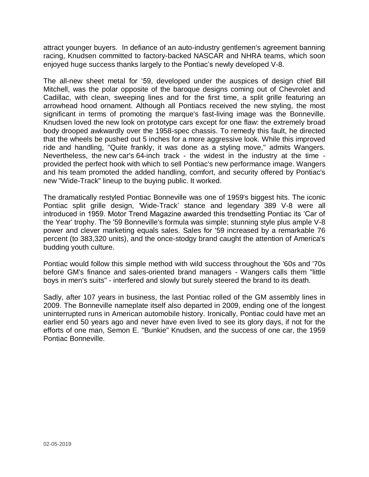attract younger buyers. In defiance of an auto-industry gentlemen's agreement banning racing, Knudsen committed to factory-backed NASCAR and NHRA teams, which soon enjoyed huge success thanks largely to the Pontiac's newly developed V-8.

The all-new sheet metal for '59, developed under the auspices of design chief Bill Mitchell, was the polar opposite of the baroque designs coming out of Chevrolet and Cadillac, with clean, sweeping lines and for the first time, a split grille featuring an arrowhead hood ornament. Although all Pontiacs received the new styling, the most significant in terms of promoting the marque's fast-living image was the Bonneville. Knudsen loved the new look on prototype cars except for one flaw: the extremely broad body drooped awkwardly over the 1958-spec chassis. To remedy this fault, he directed that the wheels be pushed out 5 inches for a more aggressive look. While this improved ride and handling, "Quite frankly, it was done as a styling move," admits Wangers. Nevertheless, the new [car's](http://www.automobilemag.com/features/collectible_classic/1004_1959_pontiac_bonneville/viewall.html) 64-inch track - the widest in the industry at the time provided the perfect hook with which to sell Pontiac's new performance image. Wangers and his team promoted the added handling, comfort, and security offered by Pontiac's new "Wide-Track" lineup to the buying public. It worked.

The dramatically restyled Pontiac Bonneville was one of 1959's biggest hits. The iconic Pontiac split grille design, 'Wide-Track' stance and legendary 389 V-8 were all introduced in 1959. Motor Trend Magazine awarded this trendsetting Pontiac its 'Car of the Year' trophy. The '59 Bonneville's formula was simple; stunning style plus ample V-8 power and clever marketing equals sales. Sales for '59 increased by a remarkable 76 percent (to 383,320 units), and the once-stodgy brand caught the attention of America's budding youth culture.

Pontiac would follow this simple method with wild success throughout the '60s and '70s before GM's finance and sales-oriented brand managers - Wangers calls them "little boys in men's suits" - interfered and slowly but surely steered the brand to its death.

Sadly, after 107 years in business, the last Pontiac rolled of the GM assembly lines in 2009. The Bonneville nameplate itself also departed in 2009, ending one of the longest uninterrupted runs in American automobile history. Ironically, Pontiac could have met an earlier end 50 years ago and never have even lived to see its glory days, if not for the efforts of one man, Semon E. "Bunkie" Knudsen, and the success of one car, the 1959 Pontiac Bonneville.